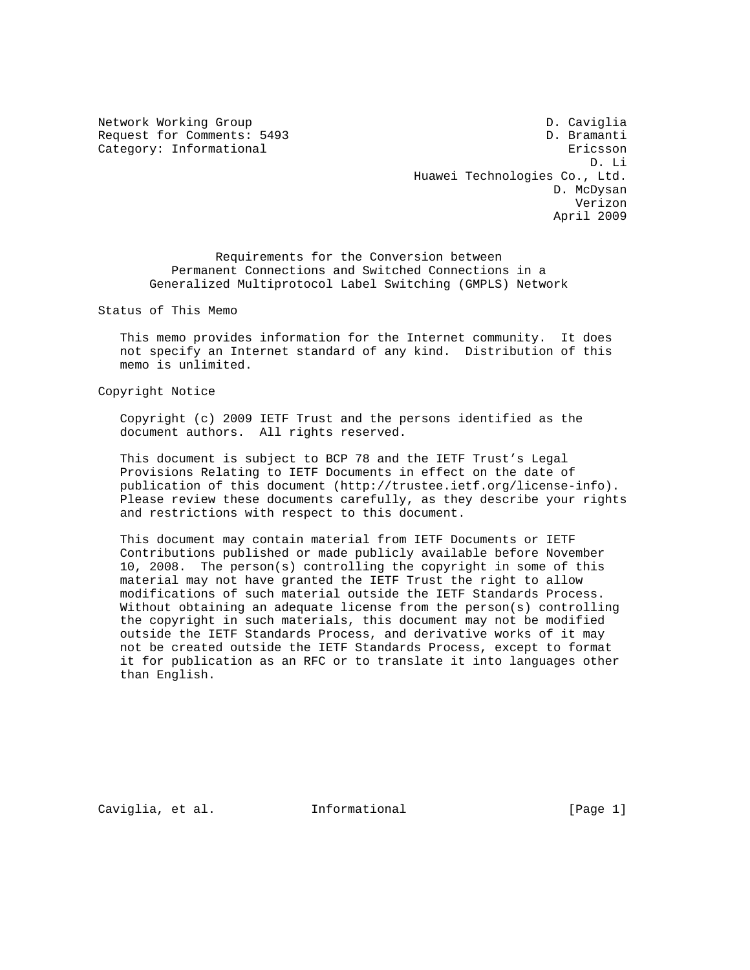Network Working Group D. Caviglia Request for Comments: 5493 D. Bramanti Category: Informational extension of the extension of the extension of the extension of the extension of the extension of the extension of the extension of the extension of the extension of the extension of the extension o D. Li Huawei Technologies Co., Ltd. D. McDysan Verizon April 2009

 Requirements for the Conversion between Permanent Connections and Switched Connections in a Generalized Multiprotocol Label Switching (GMPLS) Network

Status of This Memo

 This memo provides information for the Internet community. It does not specify an Internet standard of any kind. Distribution of this memo is unlimited.

Copyright Notice

 Copyright (c) 2009 IETF Trust and the persons identified as the document authors. All rights reserved.

 This document is subject to BCP 78 and the IETF Trust's Legal Provisions Relating to IETF Documents in effect on the date of publication of this document (http://trustee.ietf.org/license-info). Please review these documents carefully, as they describe your rights and restrictions with respect to this document.

 This document may contain material from IETF Documents or IETF Contributions published or made publicly available before November 10, 2008. The person(s) controlling the copyright in some of this material may not have granted the IETF Trust the right to allow modifications of such material outside the IETF Standards Process. Without obtaining an adequate license from the person(s) controlling the copyright in such materials, this document may not be modified outside the IETF Standards Process, and derivative works of it may not be created outside the IETF Standards Process, except to format it for publication as an RFC or to translate it into languages other than English.

Caviglia, et al. 1nformational (Page 1)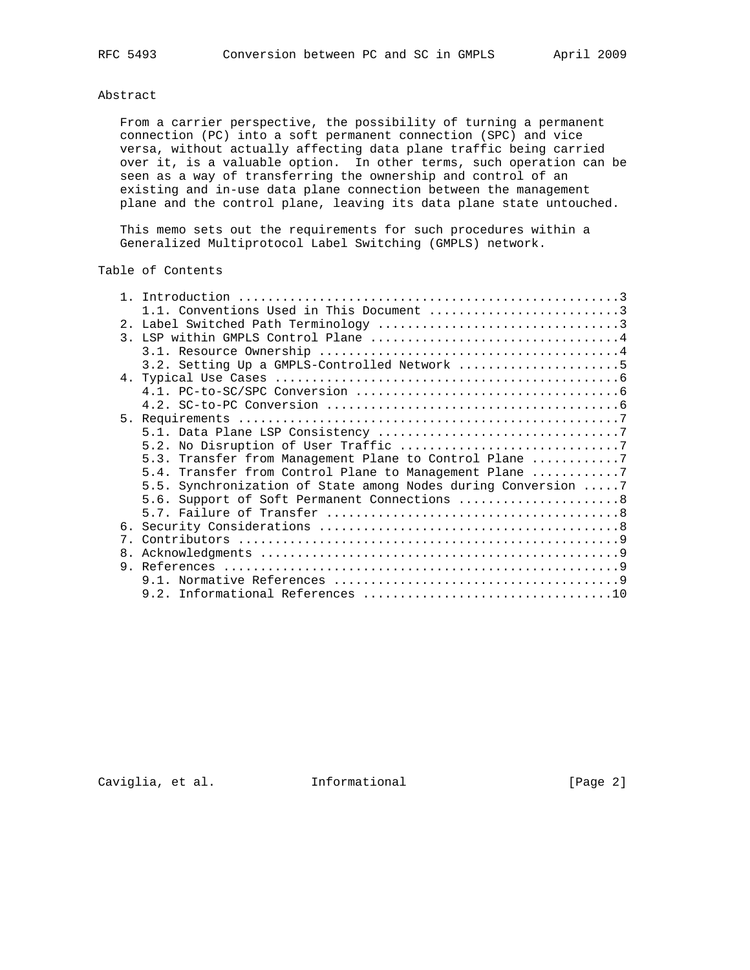# Abstract

 From a carrier perspective, the possibility of turning a permanent connection (PC) into a soft permanent connection (SPC) and vice versa, without actually affecting data plane traffic being carried over it, is a valuable option. In other terms, such operation can be seen as a way of transferring the ownership and control of an existing and in-use data plane connection between the management plane and the control plane, leaving its data plane state untouched.

 This memo sets out the requirements for such procedures within a Generalized Multiprotocol Label Switching (GMPLS) network.

### Table of Contents

|    | 1.1. Conventions Used in This Document 3                      |
|----|---------------------------------------------------------------|
|    |                                                               |
|    |                                                               |
|    |                                                               |
|    | 3.2. Setting Up a GMPLS-Controlled Network 5                  |
|    |                                                               |
|    |                                                               |
|    |                                                               |
|    |                                                               |
|    |                                                               |
|    |                                                               |
|    | 5.3. Transfer from Management Plane to Control Plane 7        |
|    | 5.4. Transfer from Control Plane to Management Plane 7        |
|    | 5.5. Synchronization of State among Nodes during Conversion 7 |
|    | 5.6. Support of Soft Permanent Connections 8                  |
|    |                                                               |
|    |                                                               |
|    |                                                               |
| 8. |                                                               |
| 9  |                                                               |
|    |                                                               |
|    |                                                               |

Caviglia, et al. 1nformational 1999 [Page 2]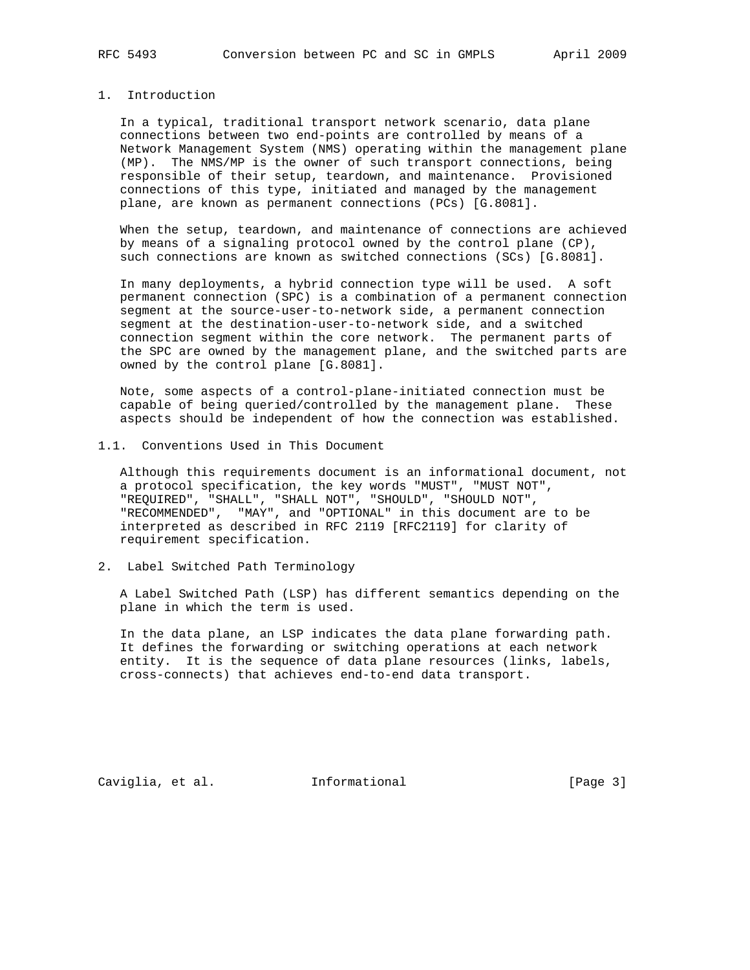#### 1. Introduction

 In a typical, traditional transport network scenario, data plane connections between two end-points are controlled by means of a Network Management System (NMS) operating within the management plane (MP). The NMS/MP is the owner of such transport connections, being responsible of their setup, teardown, and maintenance. Provisioned connections of this type, initiated and managed by the management plane, are known as permanent connections (PCs) [G.8081].

 When the setup, teardown, and maintenance of connections are achieved by means of a signaling protocol owned by the control plane (CP), such connections are known as switched connections (SCs) [G.8081].

 In many deployments, a hybrid connection type will be used. A soft permanent connection (SPC) is a combination of a permanent connection segment at the source-user-to-network side, a permanent connection segment at the destination-user-to-network side, and a switched connection segment within the core network. The permanent parts of the SPC are owned by the management plane, and the switched parts are owned by the control plane [G.8081].

 Note, some aspects of a control-plane-initiated connection must be capable of being queried/controlled by the management plane. These aspects should be independent of how the connection was established.

1.1. Conventions Used in This Document

 Although this requirements document is an informational document, not a protocol specification, the key words "MUST", "MUST NOT", "REQUIRED", "SHALL", "SHALL NOT", "SHOULD", "SHOULD NOT", "RECOMMENDED", "MAY", and "OPTIONAL" in this document are to be interpreted as described in RFC 2119 [RFC2119] for clarity of requirement specification.

2. Label Switched Path Terminology

 A Label Switched Path (LSP) has different semantics depending on the plane in which the term is used.

 In the data plane, an LSP indicates the data plane forwarding path. It defines the forwarding or switching operations at each network entity. It is the sequence of data plane resources (links, labels, cross-connects) that achieves end-to-end data transport.

Caviglia, et al. 1nformational [Page 3]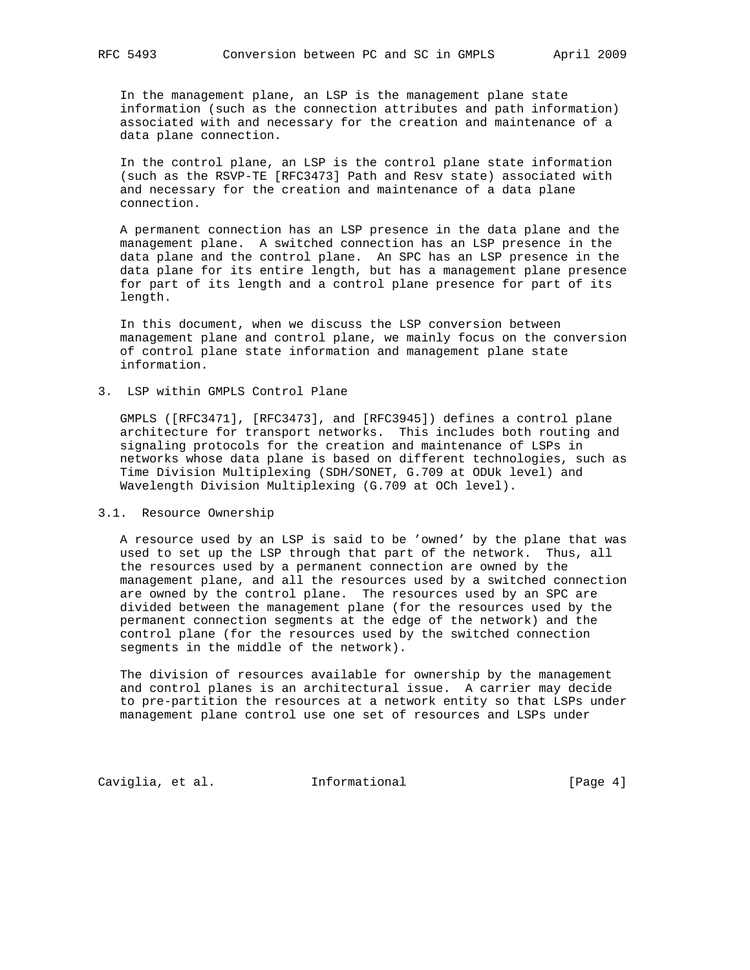In the management plane, an LSP is the management plane state information (such as the connection attributes and path information) associated with and necessary for the creation and maintenance of a data plane connection.

 In the control plane, an LSP is the control plane state information (such as the RSVP-TE [RFC3473] Path and Resv state) associated with and necessary for the creation and maintenance of a data plane connection.

 A permanent connection has an LSP presence in the data plane and the management plane. A switched connection has an LSP presence in the data plane and the control plane. An SPC has an LSP presence in the data plane for its entire length, but has a management plane presence for part of its length and a control plane presence for part of its length.

 In this document, when we discuss the LSP conversion between management plane and control plane, we mainly focus on the conversion of control plane state information and management plane state information.

## 3. LSP within GMPLS Control Plane

 GMPLS ([RFC3471], [RFC3473], and [RFC3945]) defines a control plane architecture for transport networks. This includes both routing and signaling protocols for the creation and maintenance of LSPs in networks whose data plane is based on different technologies, such as Time Division Multiplexing (SDH/SONET, G.709 at ODUk level) and Wavelength Division Multiplexing (G.709 at OCh level).

#### 3.1. Resource Ownership

 A resource used by an LSP is said to be 'owned' by the plane that was used to set up the LSP through that part of the network. Thus, all the resources used by a permanent connection are owned by the management plane, and all the resources used by a switched connection are owned by the control plane. The resources used by an SPC are divided between the management plane (for the resources used by the permanent connection segments at the edge of the network) and the control plane (for the resources used by the switched connection segments in the middle of the network).

 The division of resources available for ownership by the management and control planes is an architectural issue. A carrier may decide to pre-partition the resources at a network entity so that LSPs under management plane control use one set of resources and LSPs under

Caviglia, et al. 1nformational [Page 4]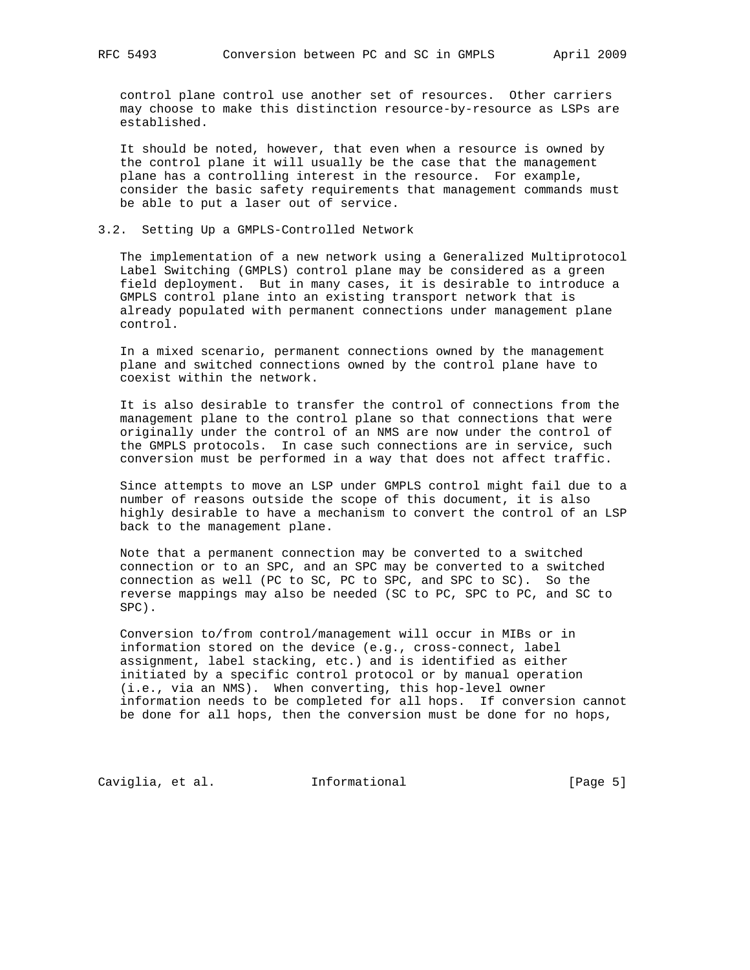control plane control use another set of resources. Other carriers may choose to make this distinction resource-by-resource as LSPs are established.

 It should be noted, however, that even when a resource is owned by the control plane it will usually be the case that the management plane has a controlling interest in the resource. For example, consider the basic safety requirements that management commands must be able to put a laser out of service.

#### 3.2. Setting Up a GMPLS-Controlled Network

 The implementation of a new network using a Generalized Multiprotocol Label Switching (GMPLS) control plane may be considered as a green field deployment. But in many cases, it is desirable to introduce a GMPLS control plane into an existing transport network that is already populated with permanent connections under management plane control.

 In a mixed scenario, permanent connections owned by the management plane and switched connections owned by the control plane have to coexist within the network.

 It is also desirable to transfer the control of connections from the management plane to the control plane so that connections that were originally under the control of an NMS are now under the control of the GMPLS protocols. In case such connections are in service, such conversion must be performed in a way that does not affect traffic.

 Since attempts to move an LSP under GMPLS control might fail due to a number of reasons outside the scope of this document, it is also highly desirable to have a mechanism to convert the control of an LSP back to the management plane.

 Note that a permanent connection may be converted to a switched connection or to an SPC, and an SPC may be converted to a switched connection as well (PC to SC, PC to SPC, and SPC to SC). So the reverse mappings may also be needed (SC to PC, SPC to PC, and SC to SPC).

 Conversion to/from control/management will occur in MIBs or in information stored on the device (e.g., cross-connect, label assignment, label stacking, etc.) and is identified as either initiated by a specific control protocol or by manual operation (i.e., via an NMS). When converting, this hop-level owner information needs to be completed for all hops. If conversion cannot be done for all hops, then the conversion must be done for no hops,

Caviglia, et al. 1nformational 1999 [Page 5]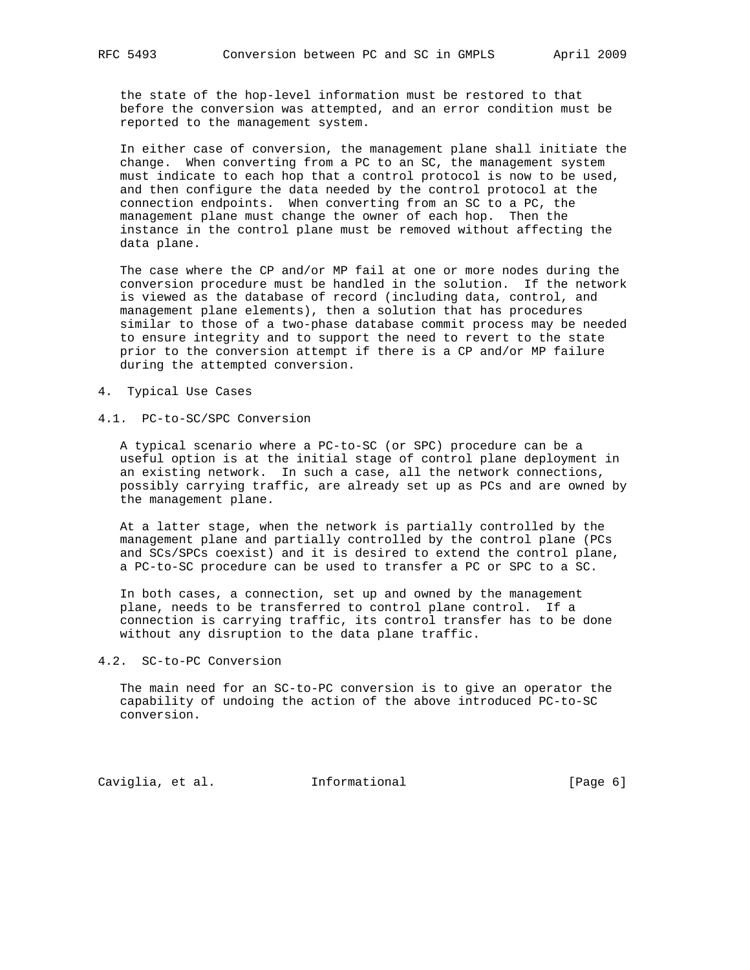the state of the hop-level information must be restored to that before the conversion was attempted, and an error condition must be reported to the management system.

 In either case of conversion, the management plane shall initiate the change. When converting from a PC to an SC, the management system must indicate to each hop that a control protocol is now to be used, and then configure the data needed by the control protocol at the connection endpoints. When converting from an SC to a PC, the management plane must change the owner of each hop. Then the instance in the control plane must be removed without affecting the data plane.

 The case where the CP and/or MP fail at one or more nodes during the conversion procedure must be handled in the solution. If the network is viewed as the database of record (including data, control, and management plane elements), then a solution that has procedures similar to those of a two-phase database commit process may be needed to ensure integrity and to support the need to revert to the state prior to the conversion attempt if there is a CP and/or MP failure during the attempted conversion.

#### 4. Typical Use Cases

### 4.1. PC-to-SC/SPC Conversion

 A typical scenario where a PC-to-SC (or SPC) procedure can be a useful option is at the initial stage of control plane deployment in an existing network. In such a case, all the network connections, possibly carrying traffic, are already set up as PCs and are owned by the management plane.

 At a latter stage, when the network is partially controlled by the management plane and partially controlled by the control plane (PCs and SCs/SPCs coexist) and it is desired to extend the control plane, a PC-to-SC procedure can be used to transfer a PC or SPC to a SC.

 In both cases, a connection, set up and owned by the management plane, needs to be transferred to control plane control. If a connection is carrying traffic, its control transfer has to be done without any disruption to the data plane traffic.

## 4.2. SC-to-PC Conversion

 The main need for an SC-to-PC conversion is to give an operator the capability of undoing the action of the above introduced PC-to-SC conversion.

Caviglia, et al. 1nformational [Page 6]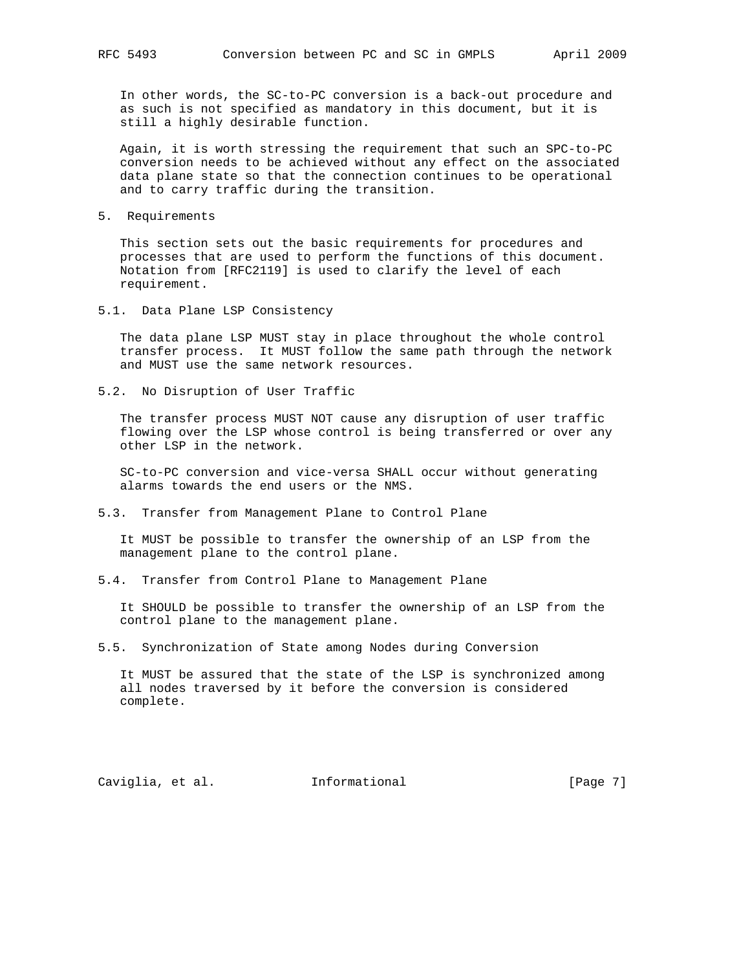In other words, the SC-to-PC conversion is a back-out procedure and as such is not specified as mandatory in this document, but it is still a highly desirable function.

 Again, it is worth stressing the requirement that such an SPC-to-PC conversion needs to be achieved without any effect on the associated data plane state so that the connection continues to be operational and to carry traffic during the transition.

5. Requirements

 This section sets out the basic requirements for procedures and processes that are used to perform the functions of this document. Notation from [RFC2119] is used to clarify the level of each requirement.

5.1. Data Plane LSP Consistency

 The data plane LSP MUST stay in place throughout the whole control transfer process. It MUST follow the same path through the network and MUST use the same network resources.

5.2. No Disruption of User Traffic

 The transfer process MUST NOT cause any disruption of user traffic flowing over the LSP whose control is being transferred or over any other LSP in the network.

 SC-to-PC conversion and vice-versa SHALL occur without generating alarms towards the end users or the NMS.

5.3. Transfer from Management Plane to Control Plane

 It MUST be possible to transfer the ownership of an LSP from the management plane to the control plane.

5.4. Transfer from Control Plane to Management Plane

 It SHOULD be possible to transfer the ownership of an LSP from the control plane to the management plane.

5.5. Synchronization of State among Nodes during Conversion

 It MUST be assured that the state of the LSP is synchronized among all nodes traversed by it before the conversion is considered complete.

Caviglia, et al. 1nformational [Page 7]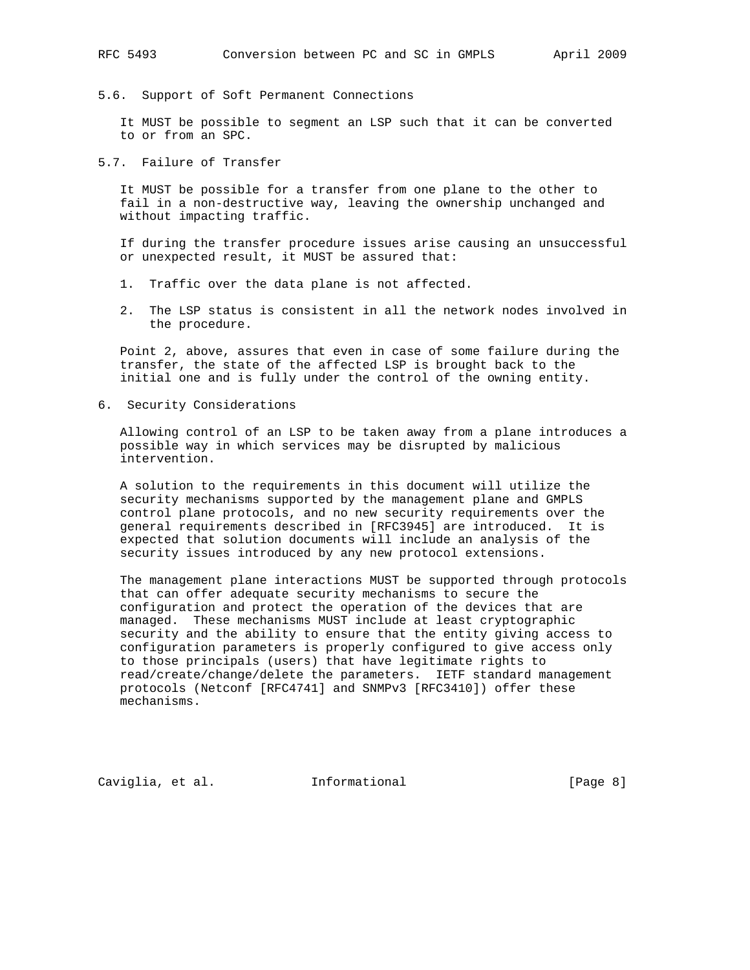5.6. Support of Soft Permanent Connections

 It MUST be possible to segment an LSP such that it can be converted to or from an SPC.

5.7. Failure of Transfer

 It MUST be possible for a transfer from one plane to the other to fail in a non-destructive way, leaving the ownership unchanged and without impacting traffic.

 If during the transfer procedure issues arise causing an unsuccessful or unexpected result, it MUST be assured that:

- 1. Traffic over the data plane is not affected.
- 2. The LSP status is consistent in all the network nodes involved in the procedure.

 Point 2, above, assures that even in case of some failure during the transfer, the state of the affected LSP is brought back to the initial one and is fully under the control of the owning entity.

6. Security Considerations

 Allowing control of an LSP to be taken away from a plane introduces a possible way in which services may be disrupted by malicious intervention.

 A solution to the requirements in this document will utilize the security mechanisms supported by the management plane and GMPLS control plane protocols, and no new security requirements over the general requirements described in [RFC3945] are introduced. It is expected that solution documents will include an analysis of the security issues introduced by any new protocol extensions.

 The management plane interactions MUST be supported through protocols that can offer adequate security mechanisms to secure the configuration and protect the operation of the devices that are managed. These mechanisms MUST include at least cryptographic security and the ability to ensure that the entity giving access to configuration parameters is properly configured to give access only to those principals (users) that have legitimate rights to read/create/change/delete the parameters. IETF standard management protocols (Netconf [RFC4741] and SNMPv3 [RFC3410]) offer these mechanisms.

Caviglia, et al. 1nformational [Page 8]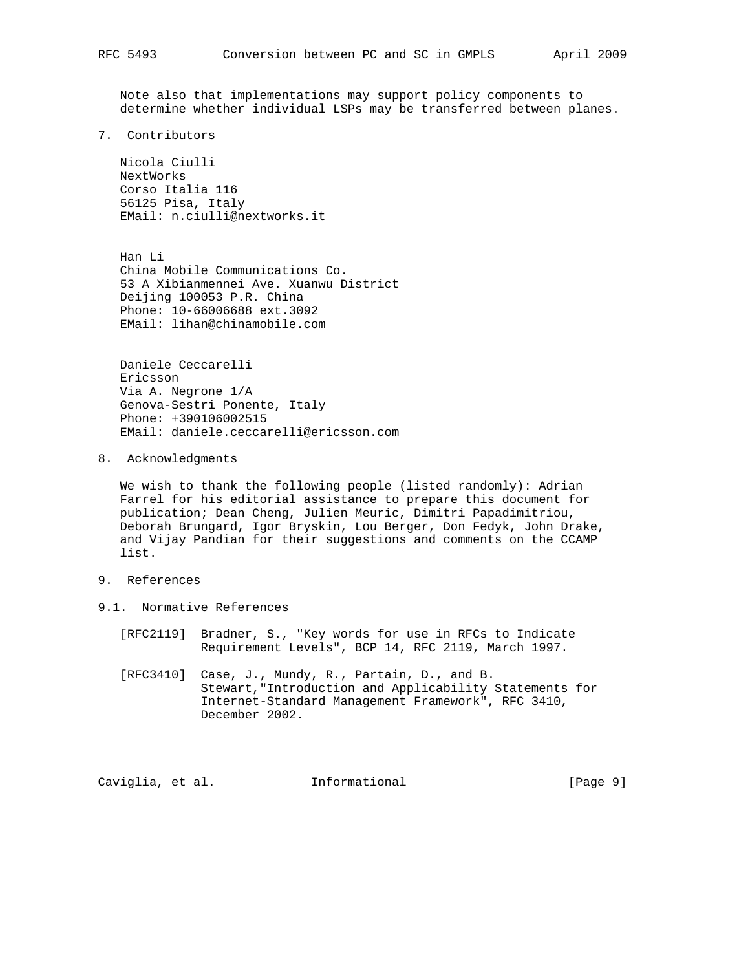Note also that implementations may support policy components to determine whether individual LSPs may be transferred between planes.

7. Contributors

 Nicola Ciulli NextWorks Corso Italia 116 56125 Pisa, Italy EMail: n.ciulli@nextworks.it

 Han Li China Mobile Communications Co. 53 A Xibianmennei Ave. Xuanwu District Deijing 100053 P.R. China Phone: 10-66006688 ext.3092 EMail: lihan@chinamobile.com

 Daniele Ceccarelli Ericsson Via A. Negrone 1/A Genova-Sestri Ponente, Italy Phone: +390106002515 EMail: daniele.ceccarelli@ericsson.com

8. Acknowledgments

 We wish to thank the following people (listed randomly): Adrian Farrel for his editorial assistance to prepare this document for publication; Dean Cheng, Julien Meuric, Dimitri Papadimitriou, Deborah Brungard, Igor Bryskin, Lou Berger, Don Fedyk, John Drake, and Vijay Pandian for their suggestions and comments on the CCAMP list.

- 9. References
- 9.1. Normative References
	- [RFC2119] Bradner, S., "Key words for use in RFCs to Indicate Requirement Levels", BCP 14, RFC 2119, March 1997.
	- [RFC3410] Case, J., Mundy, R., Partain, D., and B. Stewart,"Introduction and Applicability Statements for Internet-Standard Management Framework", RFC 3410, December 2002.

Caviglia, et al. 1nformational [Page 9]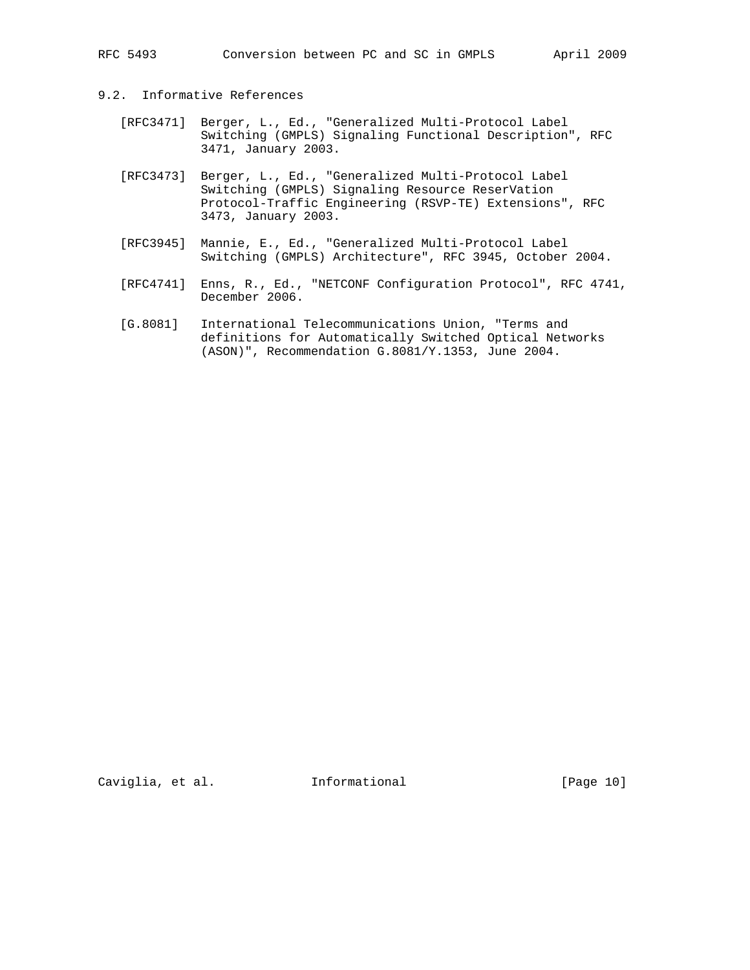### 9.2. Informative References

- [RFC3471] Berger, L., Ed., "Generalized Multi-Protocol Label Switching (GMPLS) Signaling Functional Description", RFC 3471, January 2003.
	- [RFC3473] Berger, L., Ed., "Generalized Multi-Protocol Label Switching (GMPLS) Signaling Resource ReserVation Protocol-Traffic Engineering (RSVP-TE) Extensions", RFC 3473, January 2003.
	- [RFC3945] Mannie, E., Ed., "Generalized Multi-Protocol Label Switching (GMPLS) Architecture", RFC 3945, October 2004.
	- [RFC4741] Enns, R., Ed., "NETCONF Configuration Protocol", RFC 4741, December 2006.
	- [G.8081] International Telecommunications Union, "Terms and definitions for Automatically Switched Optical Networks (ASON)", Recommendation G.8081/Y.1353, June 2004.